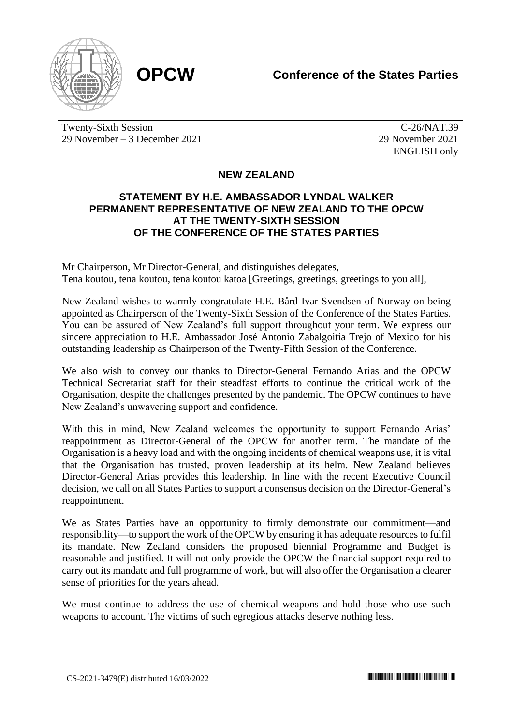

Twenty-Sixth Session 29 November – 3 December 2021

 $\overline{C-26}/NAT.39$ 29 November 2021 ENGLISH only

## **NEW ZEALAND**

## **STATEMENT BY H.E. AMBASSADOR LYNDAL WALKER PERMANENT REPRESENTATIVE OF NEW ZEALAND TO THE OPCW AT THE TWENTY-SIXTH SESSION OF THE CONFERENCE OF THE STATES PARTIES**

Mr Chairperson, Mr Director-General, and distinguishes delegates, Tena koutou, tena koutou, tena koutou katoa [Greetings, greetings, greetings to you all],

New Zealand wishes to warmly congratulate H.E. Bård Ivar Svendsen of Norway on being appointed as Chairperson of the Twenty-Sixth Session of the Conference of the States Parties. You can be assured of New Zealand's full support throughout your term. We express our sincere appreciation to H.E. Ambassador José Antonio Zabalgoitia Trejo of Mexico for his outstanding leadership as Chairperson of the Twenty-Fifth Session of the Conference.

We also wish to convey our thanks to Director-General Fernando Arias and the OPCW Technical Secretariat staff for their steadfast efforts to continue the critical work of the Organisation, despite the challenges presented by the pandemic. The OPCW continues to have New Zealand's unwavering support and confidence.

With this in mind, New Zealand welcomes the opportunity to support Fernando Arias' reappointment as Director-General of the OPCW for another term. The mandate of the Organisation is a heavy load and with the ongoing incidents of chemical weapons use, it is vital that the Organisation has trusted, proven leadership at its helm. New Zealand believes Director-General Arias provides this leadership. In line with the recent Executive Council decision, we call on all States Parties to support a consensus decision on the Director-General's reappointment.

We as States Parties have an opportunity to firmly demonstrate our commitment—and responsibility—to support the work of the OPCW by ensuring it has adequate resources to fulfil its mandate. New Zealand considers the proposed biennial Programme and Budget is reasonable and justified. It will not only provide the OPCW the financial support required to carry out its mandate and full programme of work, but will also offer the Organisation a clearer sense of priorities for the years ahead.

We must continue to address the use of chemical weapons and hold those who use such weapons to account. The victims of such egregious attacks deserve nothing less.